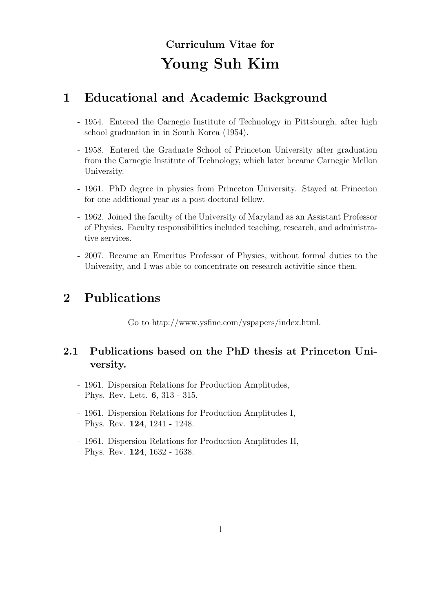# **Curriculum Vitae for Young Suh Kim**

# **1 Educational and Academic Background**

- 1954. Entered the Carnegie Institute of Technology in Pittsburgh, after high school graduation in in South Korea (1954).
- 1958. Entered the Graduate School of Princeton University after graduation from the Carnegie Institute of Technology, which later became Carnegie Mellon University.
- 1961. PhD degree in physics from Princeton University. Stayed at Princeton for one additional year as a post-doctoral fellow.
- 1962. Joined the faculty of the University of Maryland as an Assistant Professor of Physics. Faculty responsibilities included teaching, research, and administrative services.
- 2007. Became an Emeritus Professor of Physics, without formal duties to the University, and I was able to concentrate on research activitie since then.

# **2 Publications**

Go to http://www.ysfine.com/yspapers/index.html.

### **2.1 Publications based on the PhD thesis at Princeton University.**

- 1961. Dispersion Relations for Production Amplitudes, Phys. Rev. Lett. **6**, 313 - 315.
- 1961. Dispersion Relations for Production Amplitudes I, Phys. Rev. **124**, 1241 - 1248.
- 1961. Dispersion Relations for Production Amplitudes II, Phys. Rev. **124**, 1632 - 1638.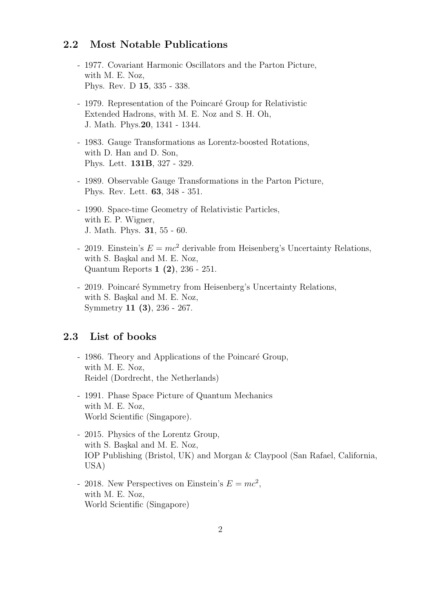#### **2.2 Most Notable Publications**

- 1977. Covariant Harmonic Oscillators and the Parton Picture, with M. E. Noz, Phys. Rev. D **15**, 335 - 338.
- 1979. Representation of the Poincaré Group for Relativistic Extended Hadrons, with M. E. Noz and S. H. Oh, J. Math. Phys.**20**, 1341 - 1344.
- 1983. Gauge Transformations as Lorentz-boosted Rotations, with D. Han and D. Son, Phys. Lett. **131B**, 327 - 329.
- 1989. Observable Gauge Transformations in the Parton Picture, Phys. Rev. Lett. **63**, 348 - 351.
- 1990. Space-time Geometry of Relativistic Particles, with E. P. Wigner, J. Math. Phys. **31**, 55 - 60.
- 2019. Einstein's  $E = mc^2$  derivable from Heisenberg's Uncertainty Relations. with S. Baskal and M. E. Noz, Quantum Reports **1 (2)**, 236 - 251.
- 2019. Poincaré Symmetry from Heisenberg's Uncertainty Relations, with S. Başkal and M. E. Noz, Symmetry **11 (3)**, 236 - 267.

#### **2.3 List of books**

- 1986. Theory and Applications of the Poincaré Group, with M. E. Noz, Reidel (Dordrecht, the Netherlands)
- 1991. Phase Space Picture of Quantum Mechanics with M. E. Noz, World Scientific (Singapore).
- 2015. Physics of the Lorentz Group, with S. Başkal and M. E. Noz, IOP Publishing (Bristol, UK) and Morgan & Claypool (San Rafael, California, USA)
- 2018. New Perspectives on Einstein's  $E = mc^2$ , with M. E. Noz, World Scientific (Singapore)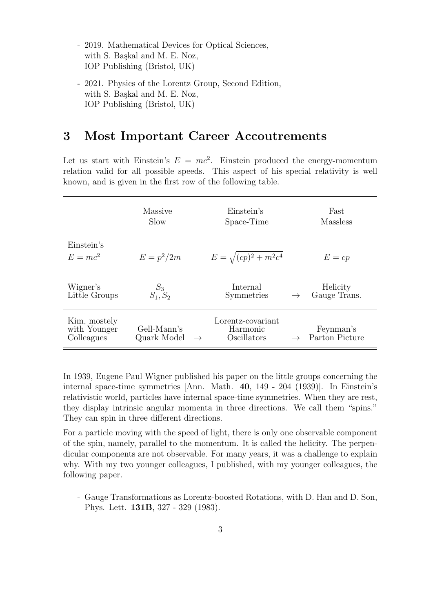- 2019. Mathematical Devices for Optical Sciences, with S. Başkal and M. E. Noz, IOP Publishing (Bristol, UK)
- 2021. Physics of the Lorentz Group, Second Edition, with S. Başkal and M. E. Noz, IOP Publishing (Bristol, UK)

## **3 Most Important Career Accoutrements**

Let us start with Einstein's  $E = mc^2$ . Einstein produced the energy-momentum relation valid for all possible speeds. This aspect of his special relativity is well known, and is given in the first row of the following table.

|                                            | Massive<br>Slow            |               | Einstein's<br>Space-Time                     |               | Fast<br>Massless            |
|--------------------------------------------|----------------------------|---------------|----------------------------------------------|---------------|-----------------------------|
| Einstein's<br>$E = mc^2$                   | $E=p^2/2m$                 |               | $E = \sqrt{(cp)^2 + m^2c^4}$                 |               | $E = cp$                    |
| Wigner's<br>Little Groups                  | $S_1, S_2$                 |               | Internal<br>Symmetries                       | $\rightarrow$ | Helicity<br>Gauge Trans.    |
| Kim, mostely<br>with Younger<br>Colleagues | Gell-Mann's<br>Quark Model | $\rightarrow$ | Lorentz-covariant<br>Harmonic<br>Oscillators |               | Feynman's<br>Parton Picture |

In 1939, Eugene Paul Wigner published his paper on the little groups concerning the internal space-time symmetries [Ann. Math. **40**, 149 - 204 (1939)]. In Einstein's relativistic world, particles have internal space-time symmetries. When they are rest, they display intrinsic angular momenta in three directions. We call them "spins." They can spin in three different directions.

For a particle moving with the speed of light, there is only one observable component of the spin, namely, parallel to the momentum. It is called the helicity. The perpendicular components are not observable. For many years, it was a challenge to explain why. With my two younger colleagues, I published, with my younger colleagues, the following paper.

- Gauge Transformations as Lorentz-boosted Rotations, with D. Han and D. Son, Phys. Lett. **131B**, 327 - 329 (1983).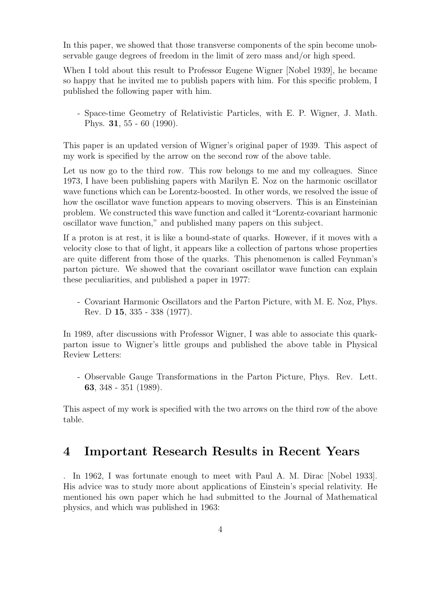In this paper, we showed that those transverse components of the spin become unobservable gauge degrees of freedom in the limit of zero mass and/or high speed.

When I told about this result to Professor Eugene Wigner [Nobel 1939], he became so happy that he invited me to publish papers with him. For this specific problem, I published the following paper with him.

- Space-time Geometry of Relativistic Particles, with E. P. Wigner, J. Math. Phys. **31**, 55 - 60 (1990).

This paper is an updated version of Wigner's original paper of 1939. This aspect of my work is specified by the arrow on the second row of the above table.

Let us now go to the third row. This row belongs to me and my colleagues. Since 1973, I have been publishing papers with Marilyn E. Noz on the harmonic oscillator wave functions which can be Lorentz-boosted. In other words, we resolved the issue of how the oscillator wave function appears to moving observers. This is an Einsteinian problem. We constructed this wave function and called it"Lorentz-covariant harmonic oscillator wave function," and published many papers on this subject.

If a proton is at rest, it is like a bound-state of quarks. However, if it moves with a velocity close to that of light, it appears like a collection of partons whose properties are quite different from those of the quarks. This phenomenon is called Feynman's parton picture. We showed that the covariant oscillator wave function can explain these peculiarities, and published a paper in 1977:

- Covariant Harmonic Oscillators and the Parton Picture, with M. E. Noz, Phys. Rev. D **15**, 335 - 338 (1977).

In 1989, after discussions with Professor Wigner, I was able to associate this quarkparton issue to Wigner's little groups and published the above table in Physical Review Letters:

- Observable Gauge Transformations in the Parton Picture, Phys. Rev. Lett. **63**, 348 - 351 (1989).

This aspect of my work is specified with the two arrows on the third row of the above table.

### **4 Important Research Results in Recent Years**

. In 1962, I was fortunate enough to meet with Paul A. M. Dirac [Nobel 1933]. His advice was to study more about applications of Einstein's special relativity. He mentioned his own paper which he had submitted to the Journal of Mathematical physics, and which was published in 1963: